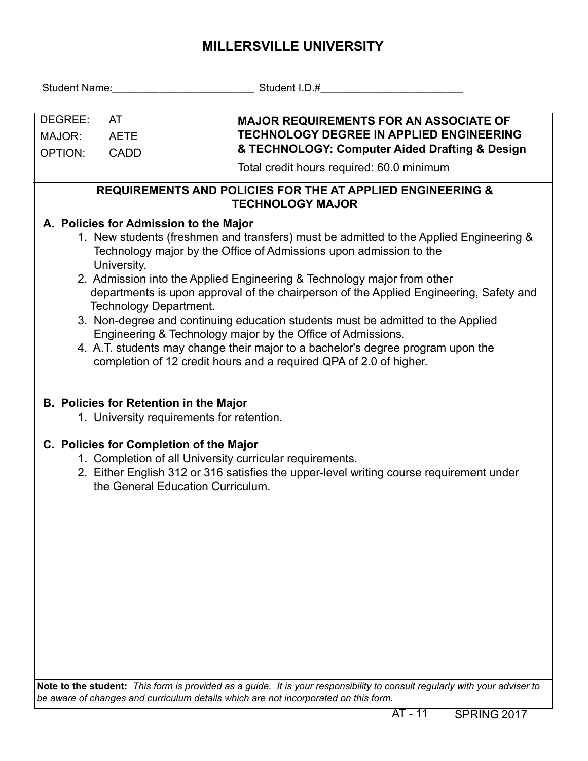## **MILLERSVILLE UNIVERSITY**

| <b>MAJOR REQUIREMENTS FOR AN ASSOCIATE OF</b><br><b>TECHNOLOGY DEGREE IN APPLIED ENGINEERING</b><br><b>AETE</b><br>& TECHNOLOGY: Computer Aided Drafting & Design<br><b>CADD</b>                                                                                                                                                                                                                                                                                                                                                                                                                                                                                                                                                |  |  |  |  |  |  |  |  |  |  |
|---------------------------------------------------------------------------------------------------------------------------------------------------------------------------------------------------------------------------------------------------------------------------------------------------------------------------------------------------------------------------------------------------------------------------------------------------------------------------------------------------------------------------------------------------------------------------------------------------------------------------------------------------------------------------------------------------------------------------------|--|--|--|--|--|--|--|--|--|--|
| Total credit hours required: 60.0 minimum                                                                                                                                                                                                                                                                                                                                                                                                                                                                                                                                                                                                                                                                                       |  |  |  |  |  |  |  |  |  |  |
| <b>REQUIREMENTS AND POLICIES FOR THE AT APPLIED ENGINEERING &amp;</b><br><b>TECHNOLOGY MAJOR</b>                                                                                                                                                                                                                                                                                                                                                                                                                                                                                                                                                                                                                                |  |  |  |  |  |  |  |  |  |  |
| A. Policies for Admission to the Major<br>1. New students (freshmen and transfers) must be admitted to the Applied Engineering &<br>Technology major by the Office of Admissions upon admission to the<br>University.<br>2. Admission into the Applied Engineering & Technology major from other<br>departments is upon approval of the chairperson of the Applied Engineering, Safety and<br>Technology Department.<br>3. Non-degree and continuing education students must be admitted to the Applied<br>Engineering & Technology major by the Office of Admissions.<br>4. A.T. students may change their major to a bachelor's degree program upon the<br>completion of 12 credit hours and a required QPA of 2.0 of higher. |  |  |  |  |  |  |  |  |  |  |
| <b>B. Policies for Retention in the Major</b><br>1. University requirements for retention.                                                                                                                                                                                                                                                                                                                                                                                                                                                                                                                                                                                                                                      |  |  |  |  |  |  |  |  |  |  |
| C. Policies for Completion of the Major<br>1. Completion of all University curricular requirements.<br>2. Either English 312 or 316 satisfies the upper-level writing course requirement under<br>the General Education Curriculum.                                                                                                                                                                                                                                                                                                                                                                                                                                                                                             |  |  |  |  |  |  |  |  |  |  |
|                                                                                                                                                                                                                                                                                                                                                                                                                                                                                                                                                                                                                                                                                                                                 |  |  |  |  |  |  |  |  |  |  |

**Note to the student:** *This form is provided as a guide. It is your responsibility to consult regularly with your adviser to be aware of changes and curriculum details which are not incorporated on this form.*